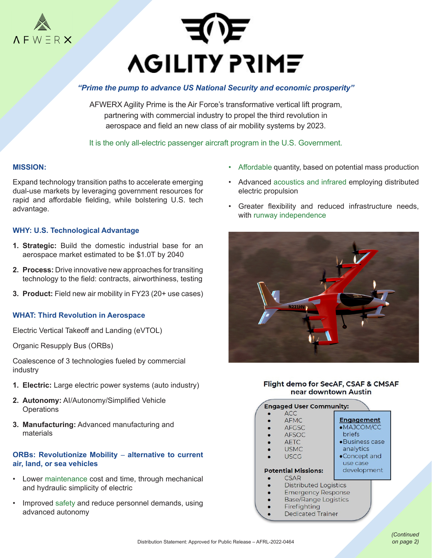



# *"Prime the pump to advance US National Security and economic prosperity"*

AFWERX Agility Prime is the Air Force's transformative vertical lift program, partnering with commercial industry to propel the third revolution in aerospace and field an new class of air mobility systems by 2023.

It is the only all-electric passenger aircraft program in the U.S. Government.

### **MISSION:**

Expand technology transition paths to accelerate emerging dual-use markets by leveraging government resources for rapid and affordable fielding, while bolstering U.S. tech advantage.

### **WHY: U.S. Technological Advantage**

- **1. Strategic:** Build the domestic industrial base for an aerospace market estimated to be \$1.0T by 2040
- **2. Process:** Drive innovative new approaches for transiting technology to the field: contracts, airworthiness, testing
- **3. Product:** Field new air mobility in FY23 (20+ use cases)

#### **WHAT: Third Revolution in Aerospace**

Electric Vertical Takeoff and Landing (eVTOL)

Organic Resupply Bus (ORBs)

Coalescence of 3 technologies fueled by commercial industry

- **1. Electric:** Large electric power systems (auto industry)
- **2. Autonomy:** AI/Autonomy/Simplified Vehicle **Operations**
- **3. Manufacturing:** Advanced manufacturing and materials

### **ORBs: Revolutionize Mobility** – **alternative to current air, land, or sea vehicles**

- Lower maintenance cost and time, through mechanical and hydraulic simplicity of electric
- Improved safety and reduce personnel demands, using advanced autonomy
- Affordable quantity, based on potential mass production
- Advanced acoustics and infrared employing distributed electric propulsion
- Greater flexibility and reduced infrastructure needs, with runway independence



Flight demo for SecAF, CSAF & CMSAF near downtown Austin

| <b>Engaged User Community:</b> |                              |                   |  |
|--------------------------------|------------------------------|-------------------|--|
|                                | <b>ACC</b>                   |                   |  |
|                                | <b>AFMC</b>                  | <b>Engagement</b> |  |
|                                | <b>AFGSC</b>                 | ·MAJCOM/CC        |  |
|                                | <b>AFSOC</b>                 | <b>briefs</b>     |  |
|                                | <b>AFTC</b>                  | •Business case    |  |
|                                | <b>USMC</b>                  | analytics         |  |
|                                | <b>USCG</b>                  | •Concept and      |  |
|                                |                              | use case          |  |
| <b>Potential Missions:</b>     |                              | development       |  |
|                                | CSAR                         |                   |  |
|                                | <b>Distributed Logistics</b> |                   |  |
|                                | <b>Emergency Response</b>    |                   |  |
|                                | <b>Base/Range Logistics</b>  |                   |  |
|                                | Firefighting                 |                   |  |

**Dedicated Trainer**